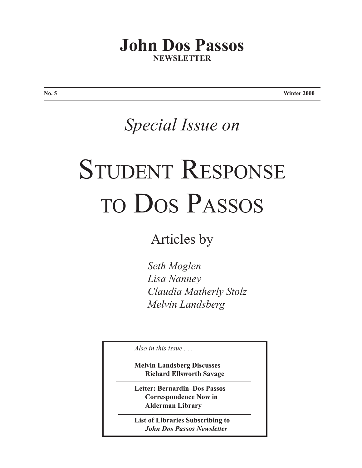# **John Dos Passos NEWSLETTER**

**No. 5 Winter 2000**

# *Special Issue on*

# STUDENT RESPONSE to Dos Passos

Articles by

*Seth Moglen Lisa Nanney Claudia Matherly Stolz Melvin Landsberg*

*Also in this issue . . .*

**Melvin Landsberg Discusses Richard Ellsworth Savage**

**Letter: Bernardin–Dos Passos Correspondence Now in Alderman Library**

**List of Libraries Subscribing to** *John Dos Passos Newsletter*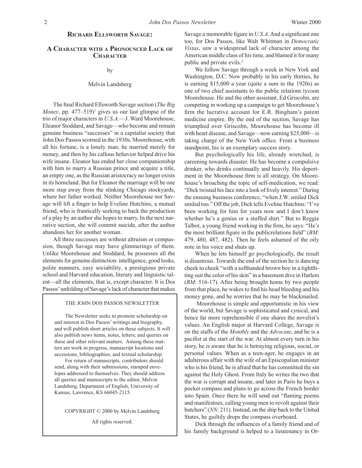#### **Richard Ellsworth Savage:**

#### **A Character with a Pronounced Lack of Character**

#### by

#### Melvin Landsberg

 The final Richard Ellsworth Savage section (*The Big Money*, pp.  $477-519$ <sup>1</sup> gives us our last glimpse of the trio of major characters in *U.S.A.*—J. Ward Moorehouse, Eleanor Stoddard, and Savage—who become and remain genuine business "successes" in a capitalist society that John Dos Passos scorned in the 1930s. Moorehouse, with all his fortune, is a lonely man; he married merely for money, and then by his callous behavior helped drive his wife insane. Eleanor has ended her close companionship with him to marry a Russian prince and acquire a title, an empty one, as the Russian aristocracy no longer exists in its homeland. But for Eleanor the marriage will be one more step away from the stinking Chicago stockyards, where her father worked. Neither Moorehouse nor Savage will lift a finger to help Eveline Hutchins, a mutual friend, who is frantically seeking to back the production of a play by an author she hopes to marry. In the next narrative section, she will commit suicide, after the author abandons her for another woman.

 All three successes are without altruism or compassion, though Savage may have glimmerings of them. Unlike Moorehouse and Stoddard, he possesses all the elements for genuine distinction: intelligence, good looks, polite manners, easy sociability, a prestigious private school and Harvard education, literary and linguistic talent—all the elements, that is, except character. It is Dos Passos' unfolding of Savage's lack of character that makes

#### THE JOHN DOS PASSOS NEWSLETTER

 The Newsletter seeks to promote scholarship on and interest in Dos Passos' writings and biography, and will publish short articles on these subjects. It will also publish news items, notes, letters, and queries on these and other relevant matters. Among these matters are work in progress, manuscript locations and accessions, bibliographies, and textual scholarship.

 For return of manuscripts, contributors should send, along with their submissions, stamped envelopes addressed to themselves. They should address all queries and manuscripts to the editor, Melvin Landsberg, Department of English, University of Kansas, Lawrence, KS 66045-2115.

COPYRIGHT © 2000 by Melvin Landsberg

All rights reserved.

Savage a memorable figure in *U.S.A.*And a significant one too, for Dos Passos, like Walt Whitman in *Democratic Vistas*, saw a widespread lack of character among the American middle class of histime, and blamed it for many public and private evils.<sup>2</sup>

 We follow Savage through a week in New York and Washington, D.C. Now probably in his early thirties, he is earning \$15,000 a year (quite a sum in the 1920s) as one of two chief assistants to the public relations tycoon Moorehouse. He and the other assistant, Ed Griscolm, are competing in working up a campaign to get Moorehouse's firm the lucrative account for E.R. Bingham's patent medicine empire. By the end of the section, Savage has triumphed over Griscolm, Moorehouse has become ill with heart disease, and Savage—now earning \$25,000—is taking charge of the New York office. From a business standpoint, his is an exemplary success story.

 But psychologically his life, already wretched, is careening towards disaster. He has become a compulsive drinker, who drinks continually and heavily. His deportment in the Moorehouse firm is all strategy. On Moorehouse's broaching the topic of self-medication, we read: "Dick twisted hisface into a look of lively interest." During the ensuing business conference, "when J.W. smiled Dick smiled too." Off the job, Dick tells Eveline Hutchins: "I've been working for him for years now and I don't know whether he's a genius or a stuffed shirt." But to Reggie Talbot, a young friend working in the firm, he says: "He's the most brilliant figure in the publicrelations field" (*BM*: 479, 480, 487, 482). Then he feels ashamed of the oily note in his voice and shuts up.

 When he lets himself go psychologically, the result is disastrous. Towards the end of the section he is dancing cheek to cheek "with a softhanded brown boy in a tightfitting suit the color of hisskin" in a basement dive in Harlem (*BM*: 516-17). After being brought home by two people from that place, he wakes to find his head bleeding and his money gone, and he worries that he may be blackmailed.

Moorehouse is simple and opportunistic in his view of the world, but Savage is sophisticated and cynical, and hence far more reprehensible if one shares the novelist's values. An English major at Harvard College, Savage is on the staffs of the *Monthly* and the *Advocate*, and he is a pacifist at the start of the war. At almost every turn in his story, he is aware that he is betraying religious, social, or personal values. When as a teen-ager, he engages in an adulterous affair with the wife of an Episcopalian minister who is hisfriend, he is afraid that he has committed the sin against the Holy Ghost. From Italy he writes the two that the war is corrupt and insane, and later in Paris he buys a pocket compass and plans to go across the French border into Spain. Once there he will send out "flaming poems and manifestoes, calling young men to revolt against their butchers" (*NN*: 211). Instead, on the ship back to the United States, he guiltily drops the compass overboard.

 Dick through the influences of a family friend and of his family background is helped to a lieutenancy in Or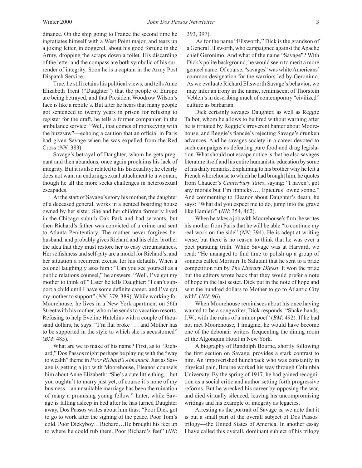dinance. On the ship going to France the second time he ingratiates himself with a West Point major, and tears up a joking letter, in doggerel, about his good fortune in the Army, dropping the scraps down a toilet. His discarding of the letter and the compass are both symbolic of his surrender of integrity. Soon he is a captain in the Army Post Dispatch Service.

 True, he still retains his political views, and tellsAnne Elizabeth Trent ("Daughter") that the people of Europe are being betrayed, and that President Woodrow Wilson's face is like a reptile's. But after he hears that many people got sentenced to twenty years in prison for refusing to register for the draft, he tells a former companion in the ambulance service: "Well, that comes of monkeying with the buzzsaw"—echoing a caution that an official in Paris had given Savage when he was expelled from the Red Cross (*NN*: 383).

 Savage's betrayal of Daughter, whom he gets pregnant and then abandons, once again proclaims his lack of integrity. But it is also related to his bisexuality; he clearly does not want an enduring sexual attachment to a woman, though he all the more seeks challenges in heterosexual escapades.

At the start of Savage's story his mother, the daughter of a deceased general, works in a genteel boarding house owned by her sister. She and her children formerly lived in the Chicago suburb Oak Park and had servants, but then Richard's father was convicted of a crime and sent to Atlanta Penitentiary. The mother never forgives her husband, and probably gives Richard and his elder brother the idea that they must restore her to easy circumstances. Her selfishness and self-pity are a model for Richard's, and her situation a recurrent excuse for his defaults. When a colonel laughingly asks him : "Can you see yourself as a public relations counsel," he answers: "Well, I've got my mother to think of." Later he tells Daughter: "I can't support a child until I have some definite career, and I've got my mother to support" (*NN*: 379, 389). While working for Moorehouse, he lives in a New York apartment on 56th Street with his mother, whom he sends to vacation resorts. Refusing to help Eveline Hutchins with a couple of thousand dollars, he says: "I'm flat broke . . . and Mother has to be supported in the style to which she is accustomed" (*BM*: 485).

 What are we to make of his name? First, as to "Richard," Dos Passos might perhaps be playing with the "way to wealth" theme in *Poor Richard's Almanack*.Just as Savage is getting a job with Moorehouse, Eleanor counsels him about Anne Elizabeth: "She's a cute little thing...but you oughtn't to marry just yet, of course it's none of my business…an unsuitable marriage has been the ruination of many a promising young fellow." Later, while Savage is falling asleep in bed after he has turned Daughter away, Dos Passos writes about him thus: "Poor Dick got to go to work after the signing of the peace. Poor Tom's cold. Poor Dickyboy…Richard…He brought his feet up to where he could rub them. Poor Richard's feet" (*NN*:

#### 393, 397).

As for the name "Ellsworth," Dick is the grandson of a General Ellsworth, who campaigned against the Apache chief Geronimo. And what of the name "Savage"? With Dick's polite background, he would seem to merit a more genteel name. Of course, "savages" was white Americans' common designation for the warriors led by Geronimo. As we evaluate Richard Ellsworth Savage's behavior, we may infer an irony in the name, reminiscent of Thorstein Veblen's in describing much of contemporary "civilized" culture as barbarian.

 Dick certainly savages Daughter, as well as Reggie Talbot, whom he allows to be fired without warning after he is irritated by Reggie's irreverent banter about Moorehouse, and Reggie's fiancée's rejecting Savage's drunken advances. And he savages society in a career devoted to such campaigns as defeating pure food and drug legislation. What should not escape notice is that he also savages literature itself and his entire humanistic education by some of his daily remarks. Explaining to his brother why he left a French whorehouse to which he had brought him, he quotes from Chaucer's *Canterbury Tales*, saying: "I haven't got any morals but I'm finnicky…, Epicurus' owne sonne." And commenting to Eleanor about Daughter's death, he says: "What did you expect me to do, jump into the grave like Hamlet?" (*NN*: 354, 462).

 When he takes a job with Moorehouse's firm, he writes his mother from Paris that he will be able "to continue my real work on the side" (*NN*: 394). He is adept at writing verse, but there is no reason to think that he was ever a poet pursuing truth. While Savage was at Harvard, we read: "He managed to find time to polish up a group of sonnets called Morituri Te Salutant that he sent to a prize competition run by *The Literary Digest*. It won the prize but the editors wrote back that they would prefer a note of hope in the last sestet. Dick put in the note of hope and sent the hundred dollars to Mother to go to Atlantic City with" (*NN*: 96).

 When Moorehouse reminisces about his once having wanted to be a songwriter, Dick responds: "Shake hands, J.W., with the ruins of a minor poet" (*BM*: 492). If he had not met Moorehouse, I imagine, he would have become one of the debonair writers frequenting the dining room of the Algonquin Hotel in New York.

 A biography of Randolph Bourne, shortly following the first section on Savage, provides a stark contrast to him. An impoverished hunchback who was constantly in physical pain, Bourne worked his way through Columbia University. By the spring of 1917, he had gained recognition as a social critic and author setting forth progressive reforms. But he wrecked his career by opposing the war, and died virtually silenced, leaving his uncompromising writings and his example of integrity as legacies.

 Arresting as the portrait of Savage is, we note that it is but a small part of the overall subject of Dos Passos' trilogy—the United States of America. In another essay I have called this overall, dominant subject of his trilogy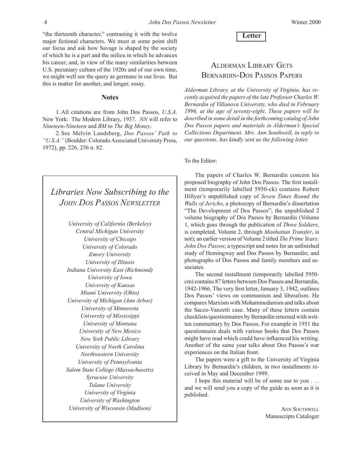"the thirteenth character," contrasting it with the twelve major fictional characters. We must at some point shift our focus and ask how Savage is shaped by the society of which he is a part and the milieu in which he advances his career; and, in view of the many similarities between U.S. pecuniary culture of the 1920s and of our own time, we might well see the query as germane in our lives. But this is matter for another, and longer, essay.

#### **Notes**

 1. All citations are from John Dos Passos, *U.S.A.* New York: The Modern Library, 1937. *NN* will refer to *Nineteen-Nineteen* and *BM* to *The Big Money*.

 2. See Melvin Landsberg, *Dos Passos' Path to*  "U.S.A." (Boulder: Colorado Associated University Press, 1972), pp. 226, 256 n. 82.

# *Libraries Now Subscribing to the John Dos Passos Newsletter*

*University of California (Berkeley) Central Michigan University University of Chicago University of Colorado Emory University University of Illinois Indiana University East (Richmond) University of Iowa University of Kansas Miami University (Ohio) University of Michigan (Ann Arbor) University of Minnesota University of Mississippi University of Montana University of New Mexico New York Public Library University of North Carolina Northwestern University University of Pennsylvania Salem State College (Massachusetts) Syracuse University Tulane University University of Virginia University of Washington University of Wisconsin (Madison)*

**Letter**

## Alderman Library Gets Bernardin-Dos Passos Papers

*Alderman Library, at the University of Virginia, has recently acquired the papers of the late Professor Charles W. Bernardin of Villanova University, who died in February 1996, at the age of seventy-eight. These papers will be described in some detail in the forthcoming catalog of John Dos Passos papers and materials in Alderman's Special Collections Department. Mrs. Ann Southwell, in reply to our questions, has kindly sent us the following letter.* 

#### To the Editor:

 The papers of Charles W. Bernardin concern his proposed biography of John Dos Passos. The first installment (temporarily labelled 5950-ck) contains Robert Hillyer's unpublished copy of *Seven Times Round the Walls of Jericho*, a photocopy of Bernardin's dissertation "The Development of Dos Passos"; the unpublished 2 volume biography of Dos Passos by Bernardin (Volume 1, which goes through the publication of *Three Soldiers*, is completed. Volume 2, through *Manhattan Transfer*, is not); an earlier version of Volume 2 titled *The Prime Years: John Dos Passos*; a typescript and notes for an unfinished study of Hemingway and Dos Passos by Bernardin; and photographs of Dos Passos and family members and associates.

 The second installment (temporarily labelled 5950 cm) contains 87 letters between Dos Passos and Bernardin, 1942-1966. The very first letter, January 3, 1942, outlines Dos Passos' views on communism and liberalism. He compares Marxism with Mohammedanism and talks about the Sacco-Vanzetti case. Many of these letters contain checklists/questionnaires by Bernardin returned with written commentary by Dos Passos. For example in 1951 the questionnaire deals with various books that Dos Passos might have read which could have influenced his writing. Another of the same year talks about Dos Passos's war experiences on the Italian front.

 The papers were a gift to the University of Virginia Library by Bernardin's children, in two installments received in May and December 1999.

 I hope this material will be of some use to you . . . and we will send you a copy of the guide as soon as it is published.

> **ANN SOUTHWELL** Manuscripts Cataloger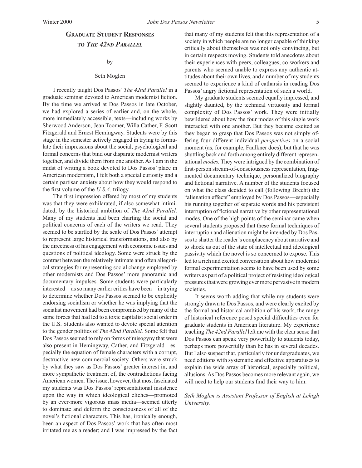### **Graduate Student Responses to** *The 42nd Parallel*

#### by

#### Seth Moglen

 I recently taught Dos Passos' *The 42nd Parallel* in a graduate seminar devoted to American modernist fiction. By the time we arrived at Dos Passos in late October, we had explored a series of earlier and, on the whole, more immediately accessible, texts—including works by Sherwood Anderson, Jean Toomer, Willa Cather, F. Scott Fitzgerald and Ernest Hemingway. Students were by this stage in the semester actively engaged in trying to formulate their impressions about the social, psychological and formal concerns that bind our disparate modernist writers together, and divide them from one another.As I am in the midst of writing a book devoted to Dos Passos' place in American modernism, I felt both a special curiosity and a certain partisan anxiety about how they would respond to the first volume of the *U.S.A.* trilogy.

 The first impression offered by most of my students was that they were exhilarated, if also somewhat intimidated, by the historical ambition of *The 42nd Parallel.* Many of my students had been charting the social and political concerns of each of the writers we read. They seemed to be startled by the scale of Dos Passos' attempt to represent large historical transformations, and also by the directness of his engagement with economic issues and questions of political ideology. Some were struck by the contrast between the relatively intimate and often allegorical strategies for representing social change employed by other modernists and Dos Passos' more panoramic and documentary impulses. Some students were particularly interested—asso many earlier critics have been—in trying to determine whether Dos Passos seemed to be explicitly endorsing socialism or whether he was implying that the socialist movement had been compromised by many of the same forces that had led to a toxic capitalist social order in the U.S. Students also wanted to devote special attention to the gender politics of *The 42nd Parallel.* Some felt that Dos Passos seemed to rely on forms of misogyny that were also present in Hemingway, Cather, and Fitzgerald—especially the equation of female characters with a corrupt, destructive new commercial society. Others were struck by what they saw as Dos Passos' greater interest in, and more sympathetic treatment of, the contradictions facing American women.The issue, however, that most fascinated my students was Dos Passos' representational insistence upon the way in which ideological cliches—promoted by an ever-more vigorous mass media—seemed utterly to dominate and deform the consciousness of all of the novel's fictional characters. This has, ironically enough, been an aspect of Dos Passos' work that has often most irritated me as a reader; and I was impressed by the fact that many of my students felt that this representation of a society in which people are no longer capable of thinking critically about themselves was not only convincing, but in certain respects moving. Students told anecdotes about their experiences with peers, colleagues, co-workers and parents who seemed unable to express any authentic attitudes about their own lives, and a number of my students seemed to experience a kind of catharsis in reading Dos Passos' angry fictional representation of such a world.

 My graduate students seemed equally impressed, and slightly daunted, by the technical virtuosity and formal complexity of Dos Passos' work. They were initially bewildered about how the four modes of this single work interacted with one another. But they became excited as they began to grasp that Dos Passos was not simply offering four different individual *perspectives* on a social moment (as, for example, Faulkner does), but that he was shuttling back and forth among entirely different representational *modes.* They were intrigued by the combination of first-person stream-of-consciousness representation, fragmented documentary technique, personalized biography and fictional narrative. A number of the students focused on what the class decided to call (following Brecht) the "alienation effects" employed by Dos Passos—especially his running together of separate words and his persistent interruption of fictional narrative by other representational modes. One of the high points of the seminar came when several students proposed that these formal techniques of interruption and alienation might be intended by Dos Passosto shatter the reader's complacency about narrative and to shock us out of the state of intellectual and ideological passivity which the novel is so concerned to expose. This led to a rich and excited conversation about how modernist formal experimentation seems to have been used by some writers as part of a political project of resisting ideological pressures that were growing ever more pervasive in modern societies.

 It seems worth adding that while my students were strongly drawn to Dos Passos, and were clearly excited by the formal and historical ambition of his work, the range of historical reference posed special difficulties even for graduate students in American literature. My experience teaching *The 42nd Parallel* left me with the clear sense that Dos Passos can speak very powerfully to students today, perhaps more powerfully than he has in several decades. But I also suspect that, particularly for undergraduates, we need editions with systematic and effective apparatuses to explain the wide array of historical, especially political, allusions.As Dos Passos becomes more relevant again, we will need to help our students find their way to him.

#### *Seth Moglen is Assistant Professor of English at Lehigh University.*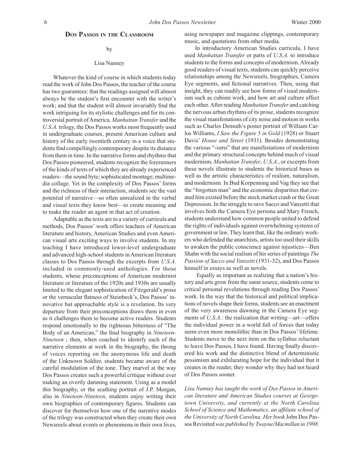#### **Dos Passos in the Classroom**

#### by

#### Lisa Nanney

 Whatever the kind of course in which students today read the work of John Dos Passos, the teacher of the course hastwo guarantees: that the readings assigned will almost always be the student's first encounter with the writer's work; and that the student will almost invariably find the work intriguing for its stylistic challenges and for its controversial portrait ofAmerica. *Manhattan Transfer* and the *U.S.A.* trilogy, the Dos Passos works most frequently used in undergraduate courses, present American culture and history of the early twentieth century in a voice that students find compellingly contemporary despite its distance from them in time. In the narrative forms and rhythms that Dos Passos pioneered, students recognize the forerunners of the kinds of texts of which they are already experienced readers—the sound byte; sophisticated montage; multimedia collage. Yet in the complexity of Dos Passos' forms and the richness of their interaction, students see the vast potential of narrative—so often unrealized in the verbal and visual texts they know best—to create meaning and to make the reader an agent in that act of creation.

Adaptable as the texts are to a variety of curricula and methods, Dos Passos' work offers teachers of American literature and history, American Studies and even American visual arts exciting ways to involve students. In my teaching I have introduced lower-level undergraduate and advanced high-school students in American literature classes to Dos Passos through the excerpts from *U.S.A.* included in commonly-used anthologies. For those students, whose preconceptions of American modernist literature or literature of the 1920s and 1930s are usually limited to the elegant sophistication of Fitzgerald's prose or the vernacular flatness of Steinbeck's, Dos Passos' innovative but approachable style is a revelation. Its very departure from their preconceptions draws them in even as it challenges them to become active readers. Students respond emotionally to the righteous bitterness of "The Body of an American," the final biography in *Nineteen-Nineteen* ; then, when coached to identify each of the narrative elements at work in the biography, the throng of voices reporting on the anonymous life and death of the Unknown Soldier, students became aware of the careful modulation of the tone. They marvel at the way Dos Passos creates such a powerful critique without ever making an overtly damning statement. Using as a model this biography, or the scathing portrait of J.P. Morgan, also in *Nineteen-Nineteen*, students enjoy writing their own biographies of contemporary figures. Students can discover for themselves how one of the narrative modes of the trilogy was constructed when they create their own Newsreels about events or phenomena in their own lives,

using newspaper and magazine clippings, contemporary music, and quotations from other media.

 In introductory American Studies curricula, I have used *Manhattan Transfer* or parts of *U.S.A.* to introduce students to the forms and concepts of modernism. Already good readers of visual texts, students can quickly perceive relationships among the Newsreels, biographies, Camera Eye segments, and fictional narratives. Then, using that insight, they can readily see how forms of visual modernism such as cubism work, and how art and culture affect each other.After reading *Manhattan Transfer* and catching the nervous urban rhythms of its prose, students recognize the visual manifestations of city noise and motion in works such as Charles Demuth's poster portrait of William Carlos Williams, *I Saw the Figure 5 in Gold* (1928) or Stuart Davis' *House and Street* (1931). Besides demonstrating the various "-isms" that are manifestations of modernism and the primary structural concepts behind much of visual modernism, *Manhattan Transfer*, *U.S.A.*, or excerpts from these novels illustrate to students the historical bases as well as the artistic characteristics of realism, naturalism, and modernism. In Bud Korpenning and Vag they see that the "forgotten man" and the economic disparities that created him existed before the stock market crash or the Great Depression. In the struggle to save Sacco and Vanzetti that involves both the Camera Eye persona and Mary French, students understand how common people united to defend the rights of individuals against overwhelming systems of government or law. They learn that, like the ordinary workers who defended the anarchists, artists too used their skills to awaken the public conscience against injustices—Ben Shahn with the social realism of his series of paintings *The Passion of Sacco and Vanzetti* (1931-32), and Dos Passos himself in essays as well as novels.

Equally as important as realizing that a nation's history and arts grow from the same source, students come to critical personal revelations through reading Dos Passos' work. In the way that the historical and political implications of novels shape their forms, students see an enactment of the very awareness dawning in the Camera Eye segments of *U.S.A.*: the realization that writing—art—offers the individual power in a world full of forces that today seem even more monolithic than in Dos Passos' lifetime. Students move to the next item on the syllabus reluctant to leave Dos Passos, I have found. Having finally discovered his work and the distinctive blend of deterministic pessimism and exhilarating hope for the individual that it creates in the reader, they wonder why they had not heard of Dos Passos sooner.

*Lisa Nanney has taught the work of Dos Passos in American literature and American Studies courses at Georgetown University, and currently at the North Carolina School of Science and Mathematics, an affiliate school of the University of North Carolina. Her book* John Dos Passos Revisited was *published by Twayne/Macmillan in 1998*.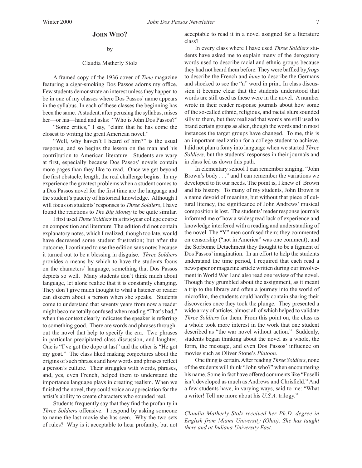#### **John Who?**

#### by

#### Claudia Matherly Stolz

 A framed copy of the 1936 cover of *Time* magazine featuring a cigar-smoking Dos Passos adorns my office. Few students demonstrate an interest unless they happen to be in one of my classes where Dos Passos' name appears in the syllabus. In each of these classes the beginning has been the same. Astudent, after perusing the syllabus, raises her—or his—hand and asks: "Who is John Dos Passos?"

 "Some critics," I say, "claim that he has come the closest to writing the great American novel."

 "Well, why haven't I heard of him?" is the usual response, and so begins the lesson on the man and his contribution to American literature. Students are wary at first, especially because Dos Passos' novels contain more pages than they like to read. Once we get beyond the first obstacle, length, the real challenge begins. In my experience the greatest problems when a student comes to a Dos Passos novel for the first time are the language and the student's paucity of historical knowledge. Although I will focus on students'responses to *Three Soldiers*, I have found the reactions to *The Big Money* to be quite similar.

 I first used *Three Soldiers*in a first-year college course on composition and literature. The edition did not contain explanatory notes, which I realized, though too late, would have decreased some student frustration; but after the outcome, I continued to use the edition sans notes because it turned out to be a blessing in disguise. *Three Soldiers* provides a means by which to have the students focus on the characters' language, something that Dos Passos depicts so well. Many students don't think much about language, let alone realize that it is constantly changing. They don't give much thought to what a listener or reader can discern about a person when she speaks. Students come to understand that seventy years from now a reader might become totally confused when reading "That's bad," when the context clearly indicates the speaker is referring to something good. There are words and phrases throughout the novel that help to specify the era. Two phrases in particular precipitated class discussion, and laughter. One is "I've got the dope at last" and the other is "He got my goat." The class liked making conjectures about the origins of such phrases and how words and phrases reflect a person's culture. Their struggles with words, phrases, and, yes, even French, helped them to understand the importance language plays in creating realism. When we finished the novel, they could voice an appreciation for the artist's ability to create characters who sounded real.

 Students frequently say that they find the profanity in *Three Soldiers* offensive. I respond by asking someone to name the last movie she has seen. Why the two sets of rules? Why is it acceptable to hear profanity, but not acceptable to read it in a novel assigned for a literature class?

 In every class where I have used *Three Soldiers* students have asked me to explain many of the derogatory words used to describe racial and ethnic groups because they had not heard them before. They were baffled by *frogs* to describe the French and *huns* to describe the Germans and shocked to see the "n" word in print. In class discussion it became clear that the students understood that words are still used as these were in the novel. A number wrote in their reader response journals about how some of the so-called ethnic, religious, and racial slurs sounded silly to them, but they realized that words are still used to brand certain groups as alien, though the words and in most instances the target groups have changed. To me, this is an important realization for a college student to achieve. I did not plan a foray into language when we started *Three Soldiers*, but the students' responses in their journals and in class led us down this path.

 In elementary school I can remember singing, "John Brown's body . . ." and I can remember the variations we developed to fit our needs. The point is, I knew of Brown and his history. To many of my students, John Brown is a name devoid of meaning, but without that piece of cultural literacy, the significance of John Andrews' musical composition islost. The students'reader response journals informed me of how a widespread lack of experience and knowledge interfered with a reading and understanding of the novel. The "Y" men confused them; they commented on censorship ("not in America" was one comment); and the Sorbonne Detachment they thought to be a figment of Dos Passos'imagination. In an effort to help the students understand the time period, I required that each read a newspaper or magazine article written during our involvement in World War I and also read one review of the novel. Though they grumbled about the assignment, as it meant a trip to the library and often a journey into the world of microfilm, the students could hardly contain sharing their discoveries once they took the plunge. They presented a wide array of articles, almost all of which helped to validate *Three Soldiers* for them. From this point on, the class as a whole took more interest in the work that one student described as "the war novel without action." Suddenly, students began thinking about the novel as a whole, the form, the message, and even Dos Passos' influence on movies such as Oliver Stone's *Platoon*.

One thing is certain. After reading *Three Soldiers*, none of the students will think "John who?" when encountering his name. Some in fact have offered comments like "Fuselli isn't developed as much as Andrews and Chrisfield." And a few students have, in varying ways, said to me: "What a writer! Tell me more about his *U.S.A.* trilogy."

*Claudia Matherly Stolz received her Ph.D. degree in English from Miami University (Ohio). She has taught there and at Indiana University East.*